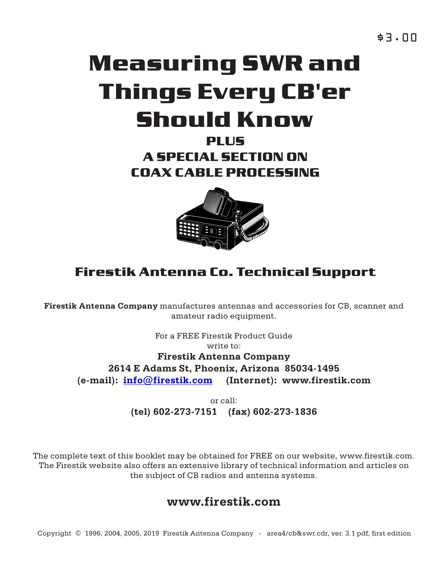# **Measuring SWR and Things Every CB'er Should Know**

**PLUS A SPECIAL SECTION ON COAX CABLE PROCESSING**



# **Firestik Antenna Co. Technical Support**

**Firestik Antenna Company** manufactures antennas and accessories for CB, scanner and amateur radio equipment.

For a FREE Firestik Product Guide

write to:

**Firestik Antenna Company (e-mail): info@firestik.com (Internet): www.firestik.com 2614 E Adams St, Phoenix, Arizona 85034-1495**

> **(tel) 602-273-7151 (fax) 602-273-1836** or call:

The complete text of this booklet may be obtained for FREE on our website, www.firestik.com. The Firestik website also offers an extensive library of technical information and articles on the subject of CB radios and antenna systems.

# **www.firestik.com**

Copyright © 1996, 2004, 2005, 2019 Firestik Antenna Company - area4/cb&swr.cdr, ver. 3.1 pdf, first edition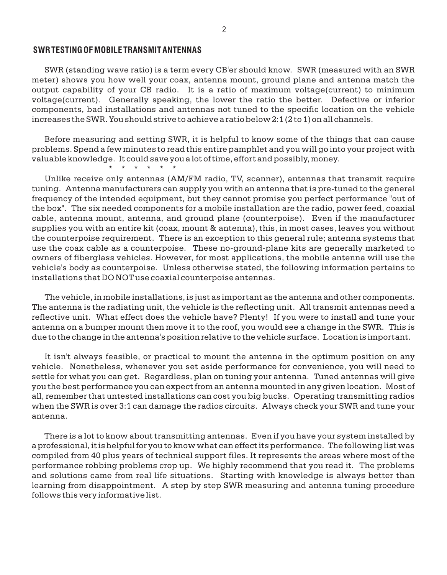### **SWR TESTING OF MOBILE TRANSMIT ANTENNAS**

SWR (standing wave ratio) is a term every CB'er should know. SWR (measured with an SWR meter) shows you how well your coax, antenna mount, ground plane and antenna match the output capability of your CB radio. It is a ratio of maximum voltage(current) to minimum voltage(current). Generally speaking, the lower the ratio the better. Defective or inferior components, bad installations and antennas not tuned to the specific location on the vehicle increases the SWR. You should strive to achieve a ratio below 2:1 (2 to 1) on all channels.

Before measuring and setting SWR, it is helpful to know some of the things that can cause problems. Spend a few minutes to read this entire pamphlet and you will go into your project with valuable knowledge. It could save you a lot of time, effort and possibly, money.

\* \* \* \* \* \*

Unlike receive only antennas (AM/FM radio, TV, scanner), antennas that transmit require tuning. Antenna manufacturers can supply you with an antenna that is pre-tuned to the general frequency of the intended equipment, but they cannot promise you perfect performance "out of the box". The six needed components for a mobile installation are the radio, power feed, coaxial cable, antenna mount, antenna, and ground plane (counterpoise). Even if the manufacturer supplies you with an entire kit (coax, mount & antenna), this, in most cases, leaves you without the counterpoise requirement. There is an exception to this general rule; antenna systems that use the coax cable as a counterpoise. These no-ground-plane kits are generally marketed to owners of fiberglass vehicles. However, for most applications, the mobile antenna will use the vehicle's body as counterpoise. Unless otherwise stated, the following information pertains to installations that DO NOT use coaxial counterpoise antennas.

The vehicle, in mobile installations, is just as important as the antenna and other components. The antenna is the radiating unit, the vehicle is the reflecting unit. All transmit antennas need a reflective unit. What effect does the vehicle have? Plenty! If you were to install and tune your antenna on a bumper mount then move it to the roof, you would see a change in the SWR. This is due to the change in the antenna's position relative to the vehicle surface. Location is important.

It isn't always feasible, or practical to mount the antenna in the optimum position on any vehicle. Nonetheless, whenever you set aside performance for convenience, you will need to settle for what you can get. Regardless, plan on tuning your antenna. Tuned antennas will give you the best performance you can expect from an antenna mounted in any given location. Most of all, remember that untested installations can cost you big bucks. Operating transmitting radios when the SWR is over 3:1 can damage the radios circuits. Always check your SWR and tune your antenna.

There is a lot to know about transmitting antennas. Even if you have your system installed by a professional, it is helpful for you to know what can effect its performance. The following list was compiled from 40 plus years of technical support files. It represents the areas where most of the performance robbing problems crop up. We highly recommend that you read it. The problems and solutions came from real life situations. Starting with knowledge is always better than learning from disappointment. A step by step SWR measuring and antenna tuning procedure follows this very informative list.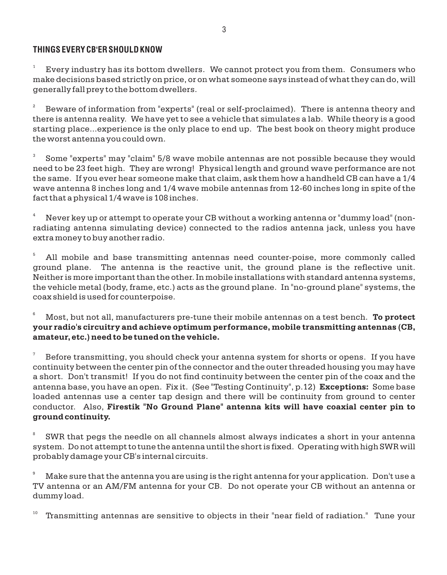# **THINGS EVERY CB'ER SHOULD KNOW**

1 Every industry has its bottom dwellers. We cannot protect you from them. Consumers who make decisions based strictly on price, or on what someone says instead of what they can do, will generally fall prey to the bottom dwellers.

2 Beware of information from "experts" (real or self-proclaimed). There is antenna theory and there is antenna reality. We have yet to see a vehicle that simulates a lab. While theory is a good starting place...experience is the only place to end up. The best book on theory might produce the worst antenna you could own.

3 Some "experts" may "claim" 5/8 wave mobile antennas are not possible because they would need to be 23 feet high. They are wrong! Physical length and ground wave performance are not the same. If you ever hear someone make that claim, ask them how a handheld CB can have a 1/4 wave antenna 8 inches long and 1/4 wave mobile antennas from 12-60 inches long in spite of the fact that a physical 1/4 wave is 108 inches.

<sup>4</sup> Never key up or attempt to operate your CB without a working antenna or "dummy load" (nonradiating antenna simulating device) connected to the radios antenna jack, unless you have extra money to buy another radio.

<sup>5</sup> All mobile and base transmitting antennas need counter-poise, more commonly called ground plane. The antenna is the reactive unit, the ground plane is the reflective unit. Neither is more important than the other. In mobile installations with standard antenna systems, the vehicle metal (body, frame, etc.) acts as the ground plane. In "no-ground plane" systems, the coax shield is used for counterpoise.

<sup>6</sup> Most, but not all, manufacturers pre-tune their mobile antennas on a test bench. **To protect your radio's circuitry and achieve optimum performance, mobile transmitting antennas (CB, amateur, etc.) need to be tuned on the vehicle.**

7 Before transmitting, you should check your antenna system for shorts or opens. If you have continuity between the center pin of the connector and the outer threaded housing you may have a short. Don't transmit! If you do not find continuity between the center pin of the coax and the antenna base, you have an open. Fix it. (See "Testing Continuity", p.12) **Exceptions:** Some base loaded antennas use a center tap design and there will be continuity from ground to center conductor. Also, **Firestik "No Ground Plane" antenna kits will have coaxial center pin to ground continuity.**

8 SWR that pegs the needle on all channels almost always indicates a short in your antenna system. Do not attempt to tune the antenna until the short is fixed. Operating with high SWR will probably damage your CB's internal circuits.

<sup>9</sup> Make sure that the antenna you are using is the right antenna for your application. Don't use a TV antenna or an AM/FM antenna for your CB. Do not operate your CB without an antenna or dummy load.

10 Transmitting antennas are sensitive to objects in their "near field of radiation." Tune your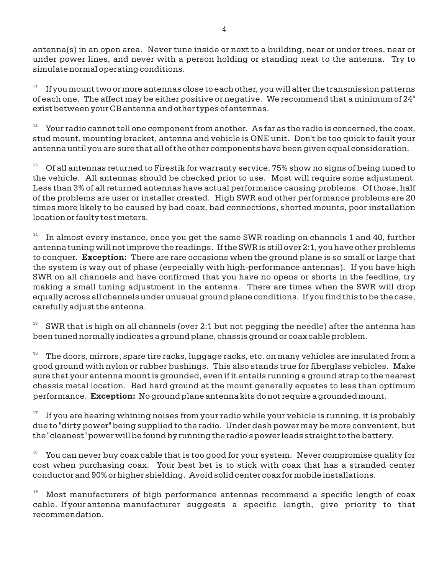antenna(s) in an open area. Never tune inside or next to a building, near or under trees, near or under power lines, and never with a person holding or standing next to the antenna. Try to simulate normal operating conditions.

11 If you mount two or more antennas close to each other, you will alter the transmission patterns of each one. The affect may be either positive or negative. We recommend that a minimum of 24" exist between your CB antenna and other types of antennas.

12 Your radio cannot tell one component from another. As far as the radio is concerned, the coax, stud mount, mounting bracket, antenna and vehicle is ONE unit. Don't be too quick to fault your antenna until you are sure that all of the other components have been given equal consideration.

 $13$  Of all antennas returned to Firestik for warranty service, 75% show no signs of being tuned to the vehicle. All antennas should be checked prior to use. Most will require some adjustment. Less than 3% of all returned antennas have actual performance causing problems. Of those, half of the problems are user or installer created. High SWR and other performance problems are 20 times more likely to be caused by bad coax, bad connections, shorted mounts, poor installation location or faulty test meters.

14 In almost every instance, once you get the same SWR reading on channels 1 and 40, further antenna tuning will not improve the readings. If the SWR is still over 2:1, you have other problems to conquer. **Exception:** There are rare occasions when the ground plane is so small or large that the system is way out of phase (especially with high-performance antennas). If you have high SWR on all channels and have confirmed that you have no opens or shorts in the feedline, try making a small tuning adjustment in the antenna. There are times when the SWR will drop equally across all channels under unusual ground plane conditions. If you find this to be the case, carefully adjust the antenna.

15 SWR that is high on all channels (over 2:1 but not pegging the needle) after the antenna has been tuned normally indicates a ground plane, chassis ground or coax cable problem.

16 The doors, mirrors, spare tire racks, luggage racks, etc. on many vehicles are insulated from a good ground with nylon or rubber bushings. This also stands true for fiberglass vehicles. Make sure that your antenna mount is grounded, even if it entails running a ground strap to the nearest chassis metal location. Bad hard ground at the mount generally equates to less than optimum performance. **Exception:** No ground plane antenna kits do not require a grounded mount.

17 If you are hearing whining noises from your radio while your vehicle is running, it is probably due to "dirty power" being supplied to the radio. Under dash power may be more convenient, but the "cleanest" power will be found by running the radio's power leads straight to the battery.

18 You can never buy coax cable that is too good for your system. Never compromise quality for cost when purchasing coax. Your best bet is to stick with coax that has a stranded center conductor and 90% or higher shielding. Avoid solid center coax for mobile installations.

Most manufacturers of high performance antennas recommend a specific length of coax cable. If your antenna manufacturer suggests a specific length, give priority to that recommendation.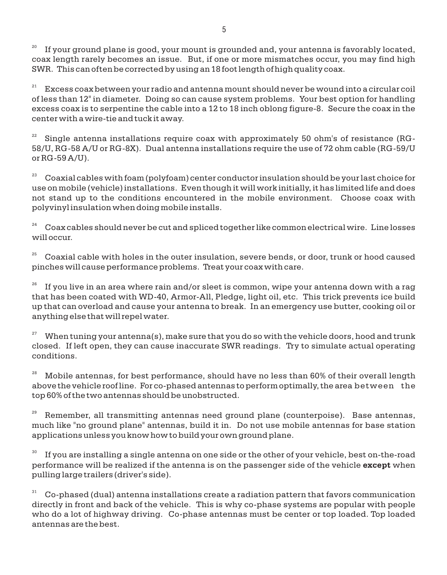20 If your ground plane is good, your mount is grounded and, your antenna is favorably located, coax length rarely becomes an issue. But, if one or more mismatches occur, you may find high SWR. This can often be corrected by using an 18 foot length of high quality coax.

21 Excess coax between your radio and antenna mount should never be wound into a circular coil of less than 12" in diameter. Doing so can cause system problems. Your best option for handling excess coax is to serpentine the cable into a 12 to 18 inch oblong figure-8. Secure the coax in the center with a wire-tie and tuck it away.

22 Single antenna installations require coax with approximately 50 ohm's of resistance (RG-58/U, RG-58 A/U or RG-8X). Dual antenna installations require the use of 72 ohm cable (RG-59/U or RG-59 A/U).

<sup>23</sup> Coaxial cables with foam (polyfoam) center conductor insulation should be your last choice for use on mobile (vehicle) installations. Even though it will work initially, it has limited life and does not stand up to the conditions encountered in the mobile environment. Choose coax with polyvinyl insulation when doing mobile installs.

 $24$  Coax cables should never be cut and spliced together like common electrical wire. Line losses will occur.

 $25$  Coaxial cable with holes in the outer insulation, severe bends, or door, trunk or hood caused pinches will cause performance problems. Treat your coax with care.

26 If you live in an area where rain and/or sleet is common, wipe your antenna down with a rag that has been coated with WD-40, Armor-All, Pledge, light oil, etc. This trick prevents ice build up that can overload and cause your antenna to break. In an emergency use butter, cooking oil or anything else that will repel water.

<sup>27</sup> When tuning your antenna(s), make sure that you do so with the vehicle doors, hood and trunk closed. If left open, they can cause inaccurate SWR readings. Try to simulate actual operating conditions.

 $28$  Mobile antennas, for best performance, should have no less than 60% of their overall length above the vehicle roof line. For co-phased antennas to perform optimally, the area between the top 60% of the two antennas should be unobstructed.

29 Remember, all transmitting antennas need ground plane (counterpoise). Base antennas, much like "no ground plane" antennas, build it in. Do not use mobile antennas for base station applications unless you know how to build your own ground plane.

30 If you are installing a single antenna on one side or the other of your vehicle, best on-the-road performance will be realized if the antenna is on the passenger side of the vehicle **except** when pulling large trailers (driver's side).

 $31$  Co-phased (dual) antenna installations create a radiation pattern that favors communication directly in front and back of the vehicle. This is why co-phase systems are popular with people who do a lot of highway driving. Co-phase antennas must be center or top loaded. Top loaded antennas are the best.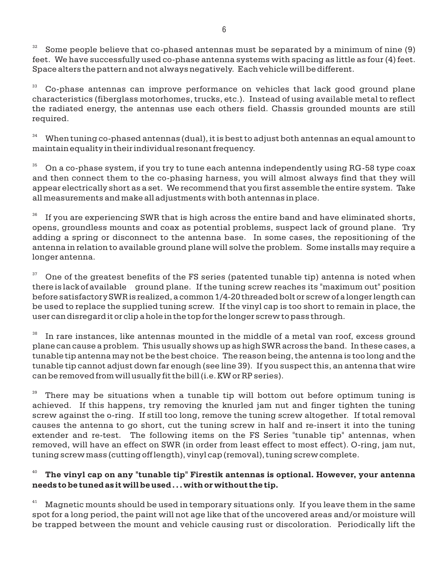32 Some people believe that co-phased antennas must be separated by a minimum of nine (9) feet. We have successfully used co-phase antenna systems with spacing as little as four (4) feet. Space alters the pattern and not always negatively. Each vehicle will be different.

<sup>33</sup> Co-phase antennas can improve performance on vehicles that lack good ground plane characteristics (fiberglass motorhomes, trucks, etc.). Instead of using available metal to reflect the radiated energy, the antennas use each others field. Chassis grounded mounts are still required.

 $34$  When tuning co-phased antennas (dual), it is best to adjust both antennas an equal amount to maintain equality in their individual resonant frequency.

 $35$  On a co-phase system, if you try to tune each antenna independently using RG-58 type coax and then connect them to the co-phasing harness, you will almost always find that they will appear electrically short as a set. We recommend that you first assemble the entire system. Take all measurements and make all adjustments with both antennas in place.

36 If you are experiencing SWR that is high across the entire band and have eliminated shorts, opens, groundless mounts and coax as potential problems, suspect lack of ground plane. Try adding a spring or disconnect to the antenna base. In some cases, the repositioning of the antenna in relation to available ground plane will solve the problem. Some installs may require a longer antenna.

 $37$  One of the greatest benefits of the FS series (patented tunable tip) antenna is noted when there is lack of available ground plane. If the tuning screw reaches its "maximum out" position before satisfactory SWR is realized, a common 1/4-20 threaded bolt or screw of a longer length can be used to replace the supplied tuning screw. If the vinyl cap is too short to remain in place, the user can disregard it or clip a hole in the top for the longer screw to pass through.

38 In rare instances, like antennas mounted in the middle of a metal van roof, excess ground plane can cause a problem. This usually shows up as high SWR across the band. In these cases, a tunable tip antenna may not be the best choice. The reason being, the antenna is too long and the tunable tip cannot adjust down far enough (see line 39). If you suspect this, an antenna that wire can be removed from will usually fit the bill (i.e. KW or RP series).

39 There may be situations when a tunable tip will bottom out before optimum tuning is achieved. If this happens, try removing the knurled jam nut and finger tighten the tuning screw against the o-ring. If still too long, remove the tuning screw altogether. If total removal causes the antenna to go short, cut the tuning screw in half and re-insert it into the tuning extender and re-test. The following items on the FS Series "tunable tip" antennas, when removed, will have an effect on SWR (in order from least effect to most effect). O-ring, jam nut, tuning screw mass (cutting off length), vinyl cap (removal), tuning screw complete.

#### 40 **The vinyl cap on any "tunable tip" Firestik antennas is optional. However, your antenna needs to be tuned as it will be used . . . with or without the tip.**

 $41$  Magnetic mounts should be used in temporary situations only. If you leave them in the same spot for a long period, the paint will not age like that of the uncovered areas and/or moisture will be trapped between the mount and vehicle causing rust or discoloration. Periodically lift the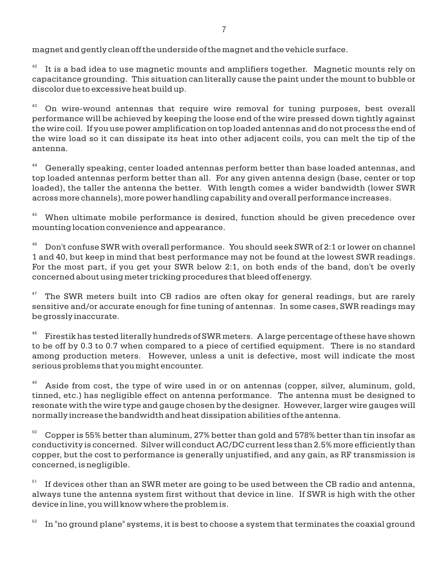magnet and gently clean off the underside of the magnet and the vehicle surface.

42 It is a bad idea to use magnetic mounts and amplifiers together. Magnetic mounts rely on capacitance grounding. This situation can literally cause the paint under the mount to bubble or discolor due to excessive heat build up.

 $43$  On wire-wound antennas that require wire removal for tuning purposes, best overall performance will be achieved by keeping the loose end of the wire pressed down tightly against the wire coil. If you use power amplification on top loaded antennas and do not process the end of the wire load so it can dissipate its heat into other adjacent coils, you can melt the tip of the antenna.

<sup>44</sup> Generally speaking, center loaded antennas perform better than base loaded antennas, and top loaded antennas perform better than all. For any given antenna design (base, center or top loaded), the taller the antenna the better. With length comes a wider bandwidth (lower SWR across more channels), more power handling capability and overall performance increases.

 $45$  When ultimate mobile performance is desired, function should be given precedence over mounting location convenience and appearance.

 $46$  Don't confuse SWR with overall performance. You should seek SWR of 2:1 or lower on channel 1 and 40, but keep in mind that best performance may not be found at the lowest SWR readings. For the most part, if you get your SWR below 2:1, on both ends of the band, don't be overly concerned about using meter tricking procedures that bleed off energy.

47 The SWR meters built into CB radios are often okay for general readings, but are rarely sensitive and/or accurate enough for fine tuning of antennas. In some cases, SWR readings may be grossly inaccurate.

48 Firestik has tested literally hundreds of SWR meters. A large percentage of these have shown to be off by 0.3 to 0.7 when compared to a piece of certified equipment. There is no standard among production meters. However, unless a unit is defective, most will indicate the most serious problems that you might encounter.

Aside from cost, the type of wire used in or on antennas (copper, silver, aluminum, gold, tinned, etc.) has negligible effect on antenna performance. The antenna must be designed to resonate with the wire type and gauge chosen by the designer. However, larger wire gauges will normally increase the bandwidth and heat dissipation abilities of the antenna.

 $50<sup>50</sup>$  Copper is 55% better than aluminum, 27% better than gold and 578% better than tin insofar as conductivity is concerned. Silver will conduct AC/DC current less than 2.5% more efficiently than copper, but the cost to performance is generally unjustified, and any gain, as RF transmission is concerned, is negligible.

51 If devices other than an SWR meter are going to be used between the CB radio and antenna, always tune the antenna system first without that device in line. If SWR is high with the other device in line, you will know where the problem is.

52 In "no ground plane" systems, it is best to choose a system that terminates the coaxial ground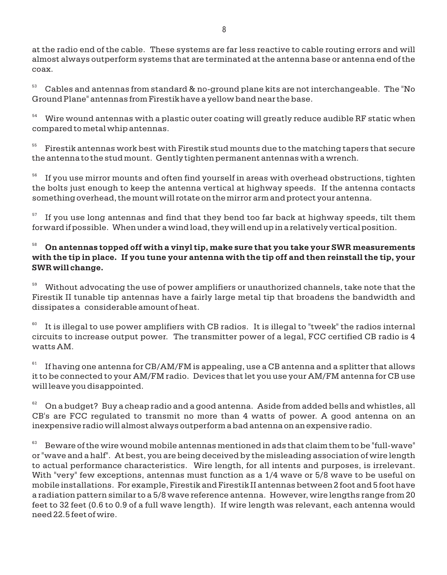at the radio end of the cable. These systems are far less reactive to cable routing errors and will almost always outperform systems that are terminated at the antenna base or antenna end of the coax.

 $53$  Cables and antennas from standard & no-ground plane kits are not interchangeable. The "No Ground Plane" antennas from Firestik have a yellow band near the base.

 $54$  Wire wound antennas with a plastic outer coating will greatly reduce audible RF static when compared to metal whip antennas.

55 Firestik antennas work best with Firestik stud mounts due to the matching tapers that secure the antenna to the stud mount. Gently tighten permanent antennas with a wrench.

56 If you use mirror mounts and often find yourself in areas with overhead obstructions, tighten the bolts just enough to keep the antenna vertical at highway speeds. If the antenna contacts something overhead, the mount will rotate on the mirror arm and protect your antenna.

57 If you use long antennas and find that they bend too far back at highway speeds, tilt them forward if possible. When under a wind load, they will end up in a relatively vertical position.

# <sup>58</sup> **On antennas topped off with a vinyl tip, make sure that you take your SWR measurements with the tip in place. If you tune your antenna with the tip off and then reinstall the tip, your SWR will change.**

<sup>59</sup> Without advocating the use of power amplifiers or unauthorized channels, take note that the Firestik II tunable tip antennas have a fairly large metal tip that broadens the bandwidth and dissipates a considerable amount of heat.

60 It is illegal to use power amplifiers with CB radios. It is illegal to "tweek" the radios internal circuits to increase output power. The transmitter power of a legal, FCC certified CB radio is 4 watts AM.

61 If having one antenna for CB/AM/FM is appealing, use a CB antenna and a splitter that allows it to be connected to your AM/FM radio. Devices that let you use your AM/FM antenna for CB use will leave you disappointed.

 $62$  On a budget? Buy a cheap radio and a good antenna. Aside from added bells and whistles, all CB's are FCC regulated to transmit no more than 4 watts of power. A good antenna on an inexpensive radio will almost always outperform a bad antenna on an expensive radio.

63 Beware of the wire wound mobile antennas mentioned in ads that claim them to be "full-wave" or "wave and a half". At best, you are being deceived by the misleading association of wire length to actual performance characteristics. Wire length, for all intents and purposes, is irrelevant. With "very" few exceptions, antennas must function as a 1/4 wave or 5/8 wave to be useful on mobile installations. For example, Firestik and Firestik II antennas between 2 foot and 5 foot have a radiation pattern similar to a 5/8 wave reference antenna. However, wire lengths range from 20 feet to 32 feet (0.6 to 0.9 of a full wave length). If wire length was relevant, each antenna would need 22.5 feet of wire.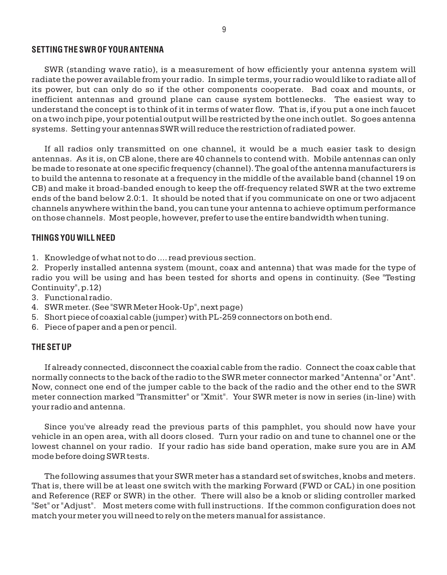#### **SETTING THE SWR OF YOUR ANTENNA**

SWR (standing wave ratio), is a measurement of how efficiently your antenna system will radiate the power available from your radio. In simple terms, your radio would like to radiate all of its power, but can only do so if the other components cooperate. Bad coax and mounts, or inefficient antennas and ground plane can cause system bottlenecks. The easiest way to understand the concept is to think of it in terms of water flow. That is, if you put a one inch faucet on a two inch pipe, your potential output will be restricted by the one inch outlet. So goes antenna systems. Setting your antennas SWR will reduce the restriction of radiated power.

If all radios only transmitted on one channel, it would be a much easier task to design antennas. As it is, on CB alone, there are 40 channels to contend with. Mobile antennas can only be made to resonate at one specific frequency (channel). The goal of the antenna manufacturers is to build the antenna to resonate at a frequency in the middle of the available band (channel 19 on CB) and make it broad-banded enough to keep the off-frequency related SWR at the two extreme ends of the band below 2.0:1. It should be noted that if you communicate on one or two adjacent channels anywhere within the band, you can tune your antenna to achieve optimum performance on those channels. Most people, however, prefer to use the entire bandwidth when tuning.

#### **THINGS YOU WILL NEED**

1. Knowledge of what not to do .... read previous section.

2. Properly installed antenna system (mount, coax and antenna) that was made for the type of radio you will be using and has been tested for shorts and opens in continuity. (See "Testing Continuity", p.12)

- 3. Functional radio.
- 4. SWR meter. (See "SWR Meter Hook-Up", next page)
- 5. Short piece of coaxial cable (jumper) with PL-259 connectors on both end.
- 6. Piece of paper and a pen or pencil.

### **THE SET UP**

If already connected, disconnect the coaxial cable from the radio. Connect the coax cable that normally connects to the back of the radio to the SWR meter connector marked "Antenna" or "Ant". Now, connect one end of the jumper cable to the back of the radio and the other end to the SWR meter connection marked "Transmitter" or "Xmit". Your SWR meter is now in series (in-line) with your radio and antenna.

Since you've already read the previous parts of this pamphlet, you should now have your vehicle in an open area, with all doors closed. Turn your radio on and tune to channel one or the lowest channel on your radio. If your radio has side band operation, make sure you are in AM mode before doing SWR tests.

The following assumes that your SWR meter has a standard set of switches, knobs and meters. That is, there will be at least one switch with the marking Forward (FWD or CAL) in one position and Reference (REF or SWR) in the other. There will also be a knob or sliding controller marked "Set" or "Adjust". Most meters come with full instructions. If the common configuration does not match your meter you will need to rely on the meters manual for assistance.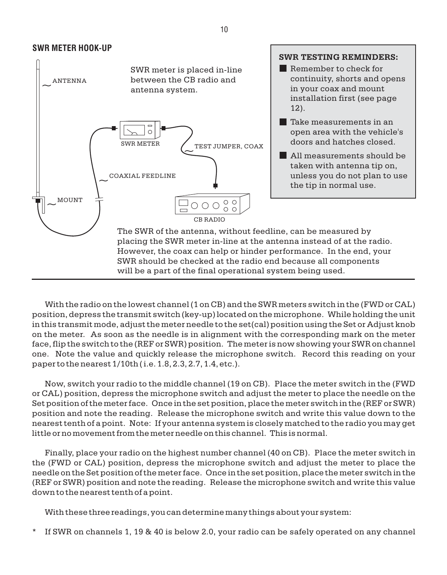

With the radio on the lowest channel (1 on CB) and the SWR meters switch in the (FWD or CAL) position, depress the transmit switch (key-up) located on the microphone. While holding the unit in this transmit mode, adjust the meter needle to the set(cal) position using the Set or Adjust knob on the meter. As soon as the needle is in alignment with the corresponding mark on the meter face, flip the switch to the (REF or SWR) position. The meter is now showing your SWR on channel one. Note the value and quickly release the microphone switch. Record this reading on your paper to the nearest 1/10th ( i.e. 1.8, 2.3, 2.7, 1.4, etc.).

Now, switch your radio to the middle channel (19 on CB). Place the meter switch in the (FWD or CAL) position, depress the microphone switch and adjust the meter to place the needle on the Set position of the meter face. Once in the set position, place the meter switch in the (REF or SWR) position and note the reading. Release the microphone switch and write this value down to the nearest tenth of a point. Note: If your antenna system is closely matched to the radio you may get little or no movement from the meter needle on this channel. This is normal.

Finally, place your radio on the highest number channel (40 on CB). Place the meter switch in the (FWD or CAL) position, depress the microphone switch and adjust the meter to place the needle on the Set position of the meter face. Once in the set position, place the meter switch in the (REF or SWR) position and note the reading. Release the microphone switch and write this value down to the nearest tenth of a point.

With these three readings, you can determine many things about your system:

\* If SWR on channels 1, 19 & 40 is below 2.0, your radio can be safely operated on any channel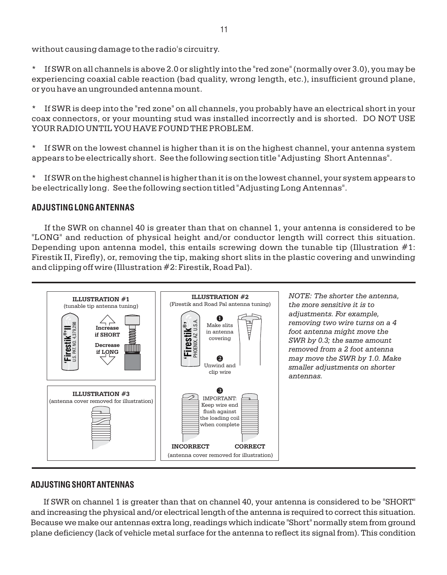without causing damage to the radio's circuitry.

\* If SWR on all channels is above 2.0 or slightly into the "red zone" (normally over 3.0), you may be experiencing coaxial cable reaction (bad quality, wrong length, etc.), insufficient ground plane, or you have an ungrounded antenna mount.

\* If SWR is deep into the "red zone" on all channels, you probably have an electrical short in your coax connectors, or your mounting stud was installed incorrectly and is shorted. DO NOT USE YOUR RADIO UNTIL YOU HAVE FOUND THE PROBLEM.

\* If SWR on the lowest channel is higher than it is on the highest channel, your antenna system appears to be electrically short. See the following section title "Adjusting Short Antennas".

\* If SWR on the highest channel is higher than it is on the lowest channel, your system appears to be electrically long. See the following section titled "Adjusting Long Antennas".

# **ADJUSTING LONG ANTENNAS**

If the SWR on channel 40 is greater than that on channel 1, your antenna is considered to be "LONG" and reduction of physical height and/or conductor length will correct this situation. Depending upon antenna model, this entails screwing down the tunable tip (Illustration  $#1$ : Firestik II, Firefly), or, removing the tip, making short slits in the plastic covering and unwinding and clipping off wire (Illustration #2: Firestik, Road Pal).



*NOTE: The shorter the antenna, the more sensitive it is to adjustments. For example, removing two wire turns on a 4 foot antenna might move the SWR by 0.3; the same amount removed from a 2 foot antenna may move the SWR by 1.0. Make smaller adjustments on shorter antennas.*

# **ADJUSTING SHORT ANTENNAS**

If SWR on channel 1 is greater than that on channel 40, your antenna is considered to be "SHORT" and increasing the physical and/or electrical length of the antenna is required to correct this situation. Because we make our antennas extra long, readings which indicate "Short" normally stem from ground plane deficiency (lack of vehicle metal surface for the antenna to reflect its signal from). This condition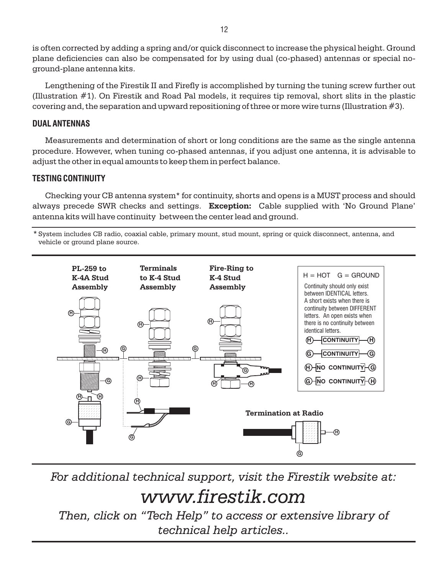is often corrected by adding a spring and/or quick disconnect to increase the physical height. Ground plane deficiencies can also be compensated for by using dual (co-phased) antennas or special noground-plane antenna kits.

Lengthening of the Firestik II and Firefly is accomplished by turning the tuning screw further out (Illustration  $#1$ ). On Firestik and Road Pal models, it requires tip removal, short slits in the plastic covering and, the separation and upward repositioning of three or more wire turns (Illustration #3).

# **DUAL ANTENNAS**

Measurements and determination of short or long conditions are the same as the single antenna procedure. However, when tuning co-phased antennas, if you adjust one antenna, it is advisable to adjust the other in equal amounts to keep them in perfect balance.

# **TESTING CONTINUITY**

Checking your CB antenna system\* for continuity, shorts and opens is a MUST process and should always precede SWR checks and settings. **Exception:** Cable supplied with 'No Ground Plane' antenna kits will have continuity between the center lead and ground.

System includes CB radio, coaxial cable, primary mount, stud mount, spring or quick disconnect, antenna, and \* vehicle or ground plane source.



*For additional technical support, visit the Firestik website at:*

# *www.firestik.com*

*Then, click on "Tech Help" to access or extensive library of technical help articles..*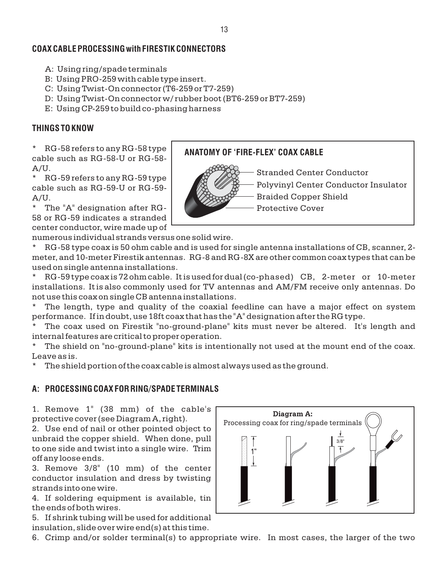# **COAX CABLE PROCESSING with FIRESTIK CONNECTORS**

- A: Using ring/spade terminals
- B: Using PRO-259 with cable type insert.
- C: Using Twist-On connector (T6-259 or T7-259)
- D: Using Twist-On connector w/ rubber boot (BT6-259 or BT7-259)
- E: Using CP-259 to build co-phasing harness

# **THINGS TO KNOW**

RG-58 refers to any RG-58 type cable such as RG-58-U or RG-58- A/U.

\* RG-59 refers to any RG-59 type cable such as RG-59-U or RG-59- A/U.

\* The "A" designation after RG-58 or RG-59 indicates a stranded center conductor, wire made up of

numerous individual strands versus one solid wire.

\* RG-58 type coax is 50 ohm cable and is used for single antenna installations of CB, scanner, 2 meter, and 10-meter Firestik antennas. RG-8 and RG-8X are other common coax types that can be used on single antenna installations.

RG-59 type coax is 72 ohm cable. It is used for dual (co-phased) CB, 2-meter or 10-meter installations. It is also commonly used for TV antennas and AM/FM receive only antennas. Do not use this coax on single CB antenna installations.

The length, type and quality of the coaxial feedline can have a major effect on system performance. If in doubt, use 18ft coax that has the "A" designation after the RG type.

The coax used on Firestik "no-ground-plane" kits must never be altered. It's length and internal features are critical to proper operation.

The shield on "no-ground-plane" kits is intentionally not used at the mount end of the coax. Leave as is.

The shield portion of the coax cable is almost always used as the ground.

# **A: PROCESSING COAX FOR RING/SPADE TERMINALS**

1. Remove 1" (38 mm) of the cable's protective cover (see Diagram A, right).

2. Use end of nail or other pointed object to unbraid the copper shield. When done, pull to one side and twist into a single wire. Trim off any loose ends.

3. Remove 3/8" (10 mm) of the center conductor insulation and dress by twisting strands into one wire.

4. If soldering equipment is available, tin the ends of both wires.

5. If shrink tubing will be used for additional insulation, slide over wire end(s) at this time.

6. Crimp and/or solder terminal(s) to appropriate wire. In most cases, the larger of the two



# **ANATOMY OF 'FIRE-FLEX' COAX CABLE**

Stranded Center Conductor

Polyvinyl Center Conductor Insulator

Braided Copper Shield

Protective Cover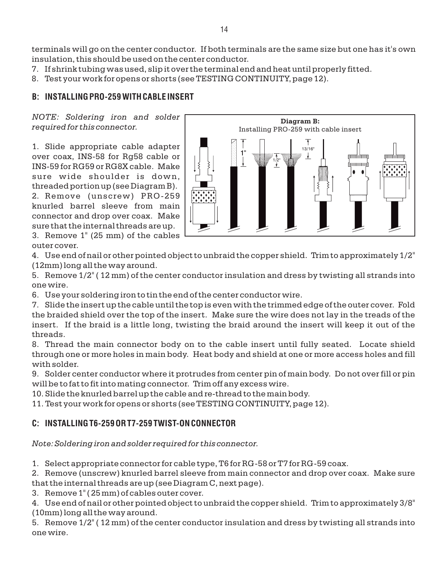terminals will go on the center conductor. If both terminals are the same size but one has it's own insulation, this should be used on the center conductor.

- 7. If shrink tubing was used, slip it over the terminal end and heat until properly fitted.
- 8. Test your work for opens or shorts (see TESTING CONTINUITY, page 12).

# **B: INSTALLING PRO-259 WITH CABLE INSERT**

*NOTE: Soldering iron and solder required for this connector.*

1. Slide appropriate cable adapter over coax, INS-58 for Rg58 cable or INS-59 for RG59 or RG8X cable. Make sure wide shoulder is down, threaded portion up (see Diagram B). 2. Remove (unscrew) PRO-259 knurled barrel sleeve from main connector and drop over coax. Make sure that the internal threads are up.

3. Remove 1" (25 mm) of the cables outer cover.



4. Use end of nail or other pointed object to unbraid the copper shield. Trim to approximately 1/2" (12mm) long all the way around.

5. Remove 1/2" ( 12 mm) of the center conductor insulation and dress by twisting all strands into one wire.

6. Use your soldering iron to tin the end of the center conductor wire.

7. Slide the insert up the cable until the top is even with the trimmed edge of the outer cover. Fold the braided shield over the top of the insert. Make sure the wire does not lay in the treads of the insert. If the braid is a little long, twisting the braid around the insert will keep it out of the threads.

8. Thread the main connector body on to the cable insert until fully seated. Locate shield through one or more holes in main body. Heat body and shield at one or more access holes and fill with solder.

9. Solder center conductor where it protrudes from center pin of main body. Do not over fill or pin will be to fat to fit into mating connector. Trim off any excess wire.

10. Slide the knurled barrel up the cable and re-thread to the main body.

11. Test your work for opens or shorts (see TESTING CONTINUITY, page 12).

# **C: INSTALLING T6-259 OR T7-259 TWIST-ON CONNECTOR**

*Note: Soldering iron and solder required for this connector.*

1. Select appropriate connector for cable type, T6 for RG-58 or T7 for RG-59 coax.

2. Remove (unscrew) knurled barrel sleeve from main connector and drop over coax. Make sure that the internal threads are up (see Diagram C, next page).

3. Remove 1" ( 25 mm) of cables outer cover.

4. Use end of nail or other pointed object to unbraid the copper shield. Trim to approximately 3/8" (10mm) long all the way around.

5. Remove 1/2" ( 12 mm) of the center conductor insulation and dress by twisting all strands into one wire.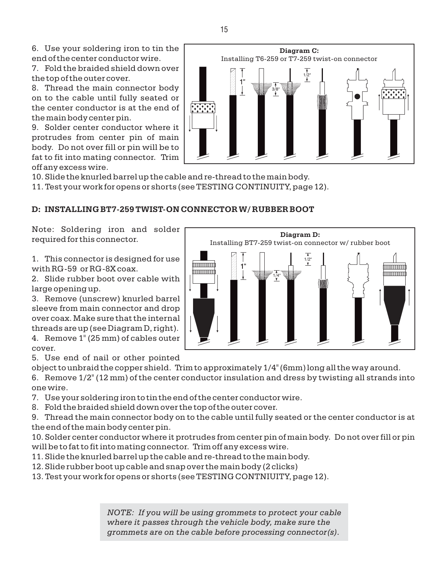7. Fold the braided shield down over the top of the outer cover.

8. Thread the main connector body on to the cable until fully seated or the center conductor is at the end of the main body center pin.

9. Solder center conductor where it protrudes from center pin of main body. Do not over fill or pin will be to fat to fit into mating connector. Trim off any excess wire.

10. Slide the knurled barrel up the cable and re-thread to the main body.

11. Test your work for opens or shorts (see TESTING CONTINUITY, page 12).

# **D: INSTALLING BT7-259 TWIST-ON CONNECTOR W/ RUBBER BOOT**

Note: Soldering iron and solder required for this connector.

1. This connector is designed for use with RG-59 or RG-8X coax.

2. Slide rubber boot over cable with large opening up.

4. Remove 1" (25 mm) of cables outer 3. Remove (unscrew) knurled barrel sleeve from main connector and drop over coax. Make sure that the internal threads are up (see Diagram D, right).

cover.

5. Use end of nail or other pointed

object to unbraid the copper shield. Trim to approximately 1/4" (6mm) long all the way around.

6. Remove 1/2" (12 mm) of the center conductor insulation and dress by twisting all strands into one wire.

7. Use your soldering iron to tin the end of the center conductor wire.

8. Fold the braided shield down over the top of the outer cover.

9. Thread the main connector body on to the cable until fully seated or the center conductor is at the end of the main body center pin.

10. Solder center conductor where it protrudes from center pin of main body. Do not over fill or pin will be to fat to fit into mating connector. Trim off any excess wire.

11. Slide the knurled barrel up the cable and re-thread to the main body.

12. Slide rubber boot up cable and snap over the main body (2 clicks)

13. Test your work for opens or shorts (see TESTING CONTNIUITY, page 12).

*NOTE: If you will be using grommets to protect your cable where it passes through the vehicle body, make sure the grommets are on the cable before processing connector(s).*



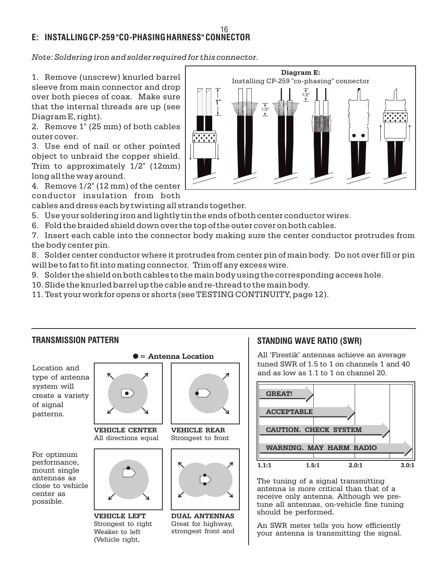#### **E: INSTALLING CP-259 "CO-PHASING HARNESS" CONNECTOR** 16

*Note: Soldering iron and solder required for this connector.*

1. Remove (unscrew) knurled barrel sleeve from main connector and drop over both pieces of coax. Make sure that the internal threads are up (see Diagram E, right).

2. Remove 1" (25 mm) of both cables outer cover.

3. Use end of nail or other pointed object to unbraid the copper shield. Trim to approximately 1/2" (12mm) long all the way around.

4. Remove 1/2" (12 mm) of the center conductor insulation from both

cables and dress each by twisting all strands together.

5. Use your soldering iron and lightly tin the ends of both center conductor wires.

6. Fold the braided shield down over the top of the outer cover on both cables.

7. Insert each cable into the connector body making sure the center conductor protrudes from the body center pin.

8. Solder center conductor where it protrudes from center pin of main body. Do not over fill or pin will be to fat to fit into mating connector. Trim off any excess wire.

- 9. Solder the shield on both cables to the main body using the corresponding access hole.
- 10. Slide the knurled barrel up the cable and re-thread to the main body.
- 11. Test your work for opens or shorts (see TESTING CONTINUITY, page 12).



(Vehicle right,

All 'Firestik' antennas achieve an average tuned SWR of 1.5 to 1 on channels 1 and 40 and as low as 1.1 to 1 on channel 20.



The tuning of a signal transmitting antenna is more critical than that of a receive only antenna. Although we pretune all antennas, on-vehicle fine tuning should be performed.

An SWR meter tells you how efficiently your antenna is transmitting the signal.



Location and type of antenna system will create a variety of signal patterns.

For optimum performance, mount single antennas as close to vehicle center as possible.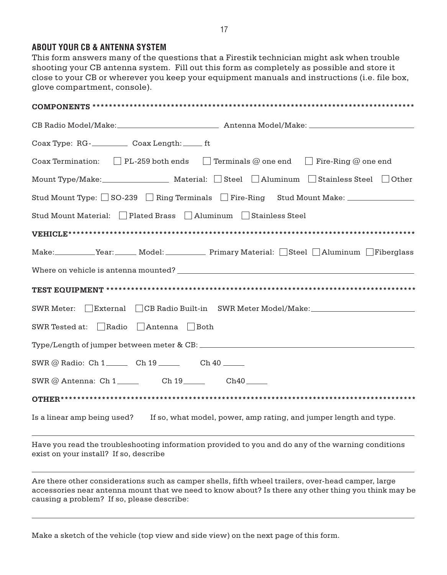## **ABOUT YOUR CB & ANTENNA SYSTEM**

This form answers many of the questions that a Firestik technician might ask when trouble shooting your CB antenna system. Fill out this form as completely as possible and store it close to your CB or wherever you keep your equipment manuals and instructions (i.e. file box, glove compartment, console).

| Coax Termination: $\Box$ PL-259 both ends $\Box$ Terminals @ one end $\Box$ Fire-Ring @ one end |
|-------------------------------------------------------------------------------------------------|
|                                                                                                 |
| Stud Mount Type: SO-239 Ring Terminals Fire-Ring Stud Mount Make: ______________                |
| Stud Mount Material: Plated Brass Aluminum Stainless Steel                                      |
|                                                                                                 |
| Make: Year: Model: Primary Material: Steel Aluminum Fiberglass                                  |
|                                                                                                 |
|                                                                                                 |
| External CB Radio Built-in SWR Meter Model/Make: _______________________________<br>SWR Meter:  |
| SWR Tested at: Radio<br>Antenna Both                                                            |
|                                                                                                 |
| SWR @ Radio: Ch 1______ Ch 19 ______ Ch 40 _____                                                |
| SWR @ Antenna: Ch 1 ______ Ch 19 _____ Ch40 ____                                                |
|                                                                                                 |
| Is a linear amp being used? If so, what model, power, amp rating, and jumper length and type.   |

Have you read the troubleshooting information provided to you and do any of the warning conditions exist on your install? If so, describe

Are there other considerations such as camper shells, fifth wheel trailers, over-head camper, large accessories near antenna mount that we need to know about? Is there any other thing you think may be causing a problem? If so, please describe:

Make a sketch of the vehicle (top view and side view) on the next page of this form.